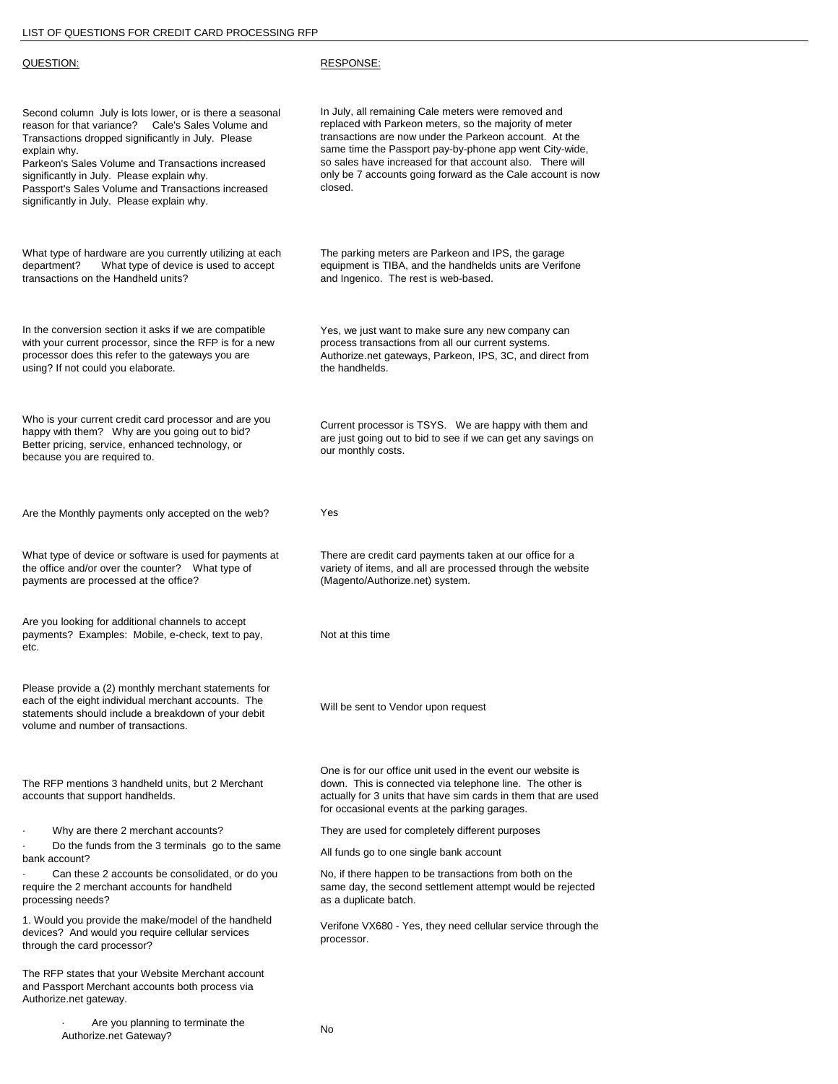| QUESTION:                                                                                                                                                                                                                                                                                                                                                                                     | RESPONSE:                                                                                                                                                                                                                                                                                                                                                                 |
|-----------------------------------------------------------------------------------------------------------------------------------------------------------------------------------------------------------------------------------------------------------------------------------------------------------------------------------------------------------------------------------------------|---------------------------------------------------------------------------------------------------------------------------------------------------------------------------------------------------------------------------------------------------------------------------------------------------------------------------------------------------------------------------|
| Second column July is lots lower, or is there a seasonal<br>Cale's Sales Volume and<br>reason for that variance?<br>Transactions dropped significantly in July. Please<br>explain why.<br>Parkeon's Sales Volume and Transactions increased<br>significantly in July. Please explain why.<br>Passport's Sales Volume and Transactions increased<br>significantly in July. Please explain why. | In July, all remaining Cale meters were removed and<br>replaced with Parkeon meters, so the majority of meter<br>transactions are now under the Parkeon account. At the<br>same time the Passport pay-by-phone app went City-wide,<br>so sales have increased for that account also. There will<br>only be 7 accounts going forward as the Cale account is now<br>closed. |
| What type of hardware are you currently utilizing at each<br>What type of device is used to accept<br>department?<br>transactions on the Handheld units?                                                                                                                                                                                                                                      | The parking meters are Parkeon and IPS, the garage<br>equipment is TIBA, and the handhelds units are Verifone<br>and Ingenico. The rest is web-based.                                                                                                                                                                                                                     |
| In the conversion section it asks if we are compatible<br>with your current processor, since the RFP is for a new<br>processor does this refer to the gateways you are<br>using? If not could you elaborate.                                                                                                                                                                                  | Yes, we just want to make sure any new company can<br>process transactions from all our current systems.<br>Authorize.net gateways, Parkeon, IPS, 3C, and direct from<br>the handhelds.                                                                                                                                                                                   |
| Who is your current credit card processor and are you<br>happy with them? Why are you going out to bid?<br>Better pricing, service, enhanced technology, or<br>because you are required to.                                                                                                                                                                                                   | Current processor is TSYS. We are happy with them and<br>are just going out to bid to see if we can get any savings on<br>our monthly costs.                                                                                                                                                                                                                              |
| Are the Monthly payments only accepted on the web?                                                                                                                                                                                                                                                                                                                                            | Yes                                                                                                                                                                                                                                                                                                                                                                       |
| What type of device or software is used for payments at<br>the office and/or over the counter? What type of<br>payments are processed at the office?                                                                                                                                                                                                                                          | There are credit card payments taken at our office for a<br>variety of items, and all are processed through the website<br>(Magento/Authorize.net) system.                                                                                                                                                                                                                |
| Are you looking for additional channels to accept<br>payments? Examples: Mobile, e-check, text to pay,<br>etc.                                                                                                                                                                                                                                                                                | Not at this time                                                                                                                                                                                                                                                                                                                                                          |
| Please provide a (2) monthly merchant statements for<br>each of the eight individual merchant accounts. The<br>statements should include a breakdown of your debit<br>volume and number of transactions.                                                                                                                                                                                      | Will be sent to Vendor upon request                                                                                                                                                                                                                                                                                                                                       |
| The RFP mentions 3 handheld units, but 2 Merchant<br>accounts that support handhelds.                                                                                                                                                                                                                                                                                                         | One is for our office unit used in the event our website is<br>down. This is connected via telephone line. The other is<br>actually for 3 units that have sim cards in them that are used<br>for occasional events at the parking garages.                                                                                                                                |
| Why are there 2 merchant accounts?                                                                                                                                                                                                                                                                                                                                                            | They are used for completely different purposes                                                                                                                                                                                                                                                                                                                           |
| Do the funds from the 3 terminals go to the same<br>bank account?                                                                                                                                                                                                                                                                                                                             | All funds go to one single bank account                                                                                                                                                                                                                                                                                                                                   |
| Can these 2 accounts be consolidated, or do you<br>require the 2 merchant accounts for handheld<br>processing needs?                                                                                                                                                                                                                                                                          | No, if there happen to be transactions from both on the<br>same day, the second settlement attempt would be rejected<br>as a duplicate batch.                                                                                                                                                                                                                             |
| 1. Would you provide the make/model of the handheld<br>devices? And would you require cellular services<br>through the card processor?                                                                                                                                                                                                                                                        | Verifone VX680 - Yes, they need cellular service through the<br>processor.                                                                                                                                                                                                                                                                                                |
| The RFP states that your Website Merchant account<br>and Passport Merchant accounts both process via<br>Authorize.net gateway.                                                                                                                                                                                                                                                                |                                                                                                                                                                                                                                                                                                                                                                           |
| Are vou planning to terminate the                                                                                                                                                                                                                                                                                                                                                             |                                                                                                                                                                                                                                                                                                                                                                           |

· Are you planning to terminate the Authorize.net Gateway? No